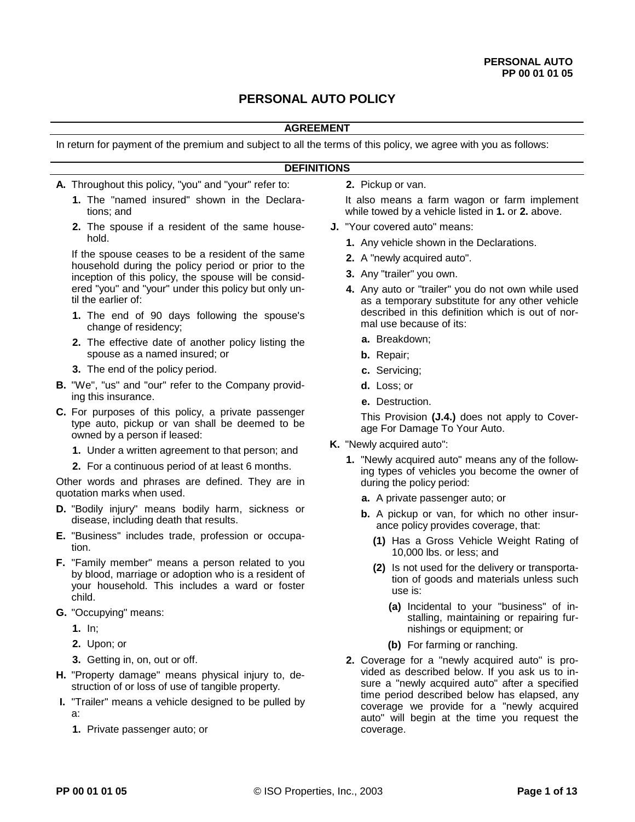# **PERSONAL AUTO POLICY**

# **AGREEMENT**

In return for payment of the premium and subject to all the terms of this policy, we agree with you as follows:

#### **DEFINITIONS**

- **A.** Throughout this policy, "you" and "your" refer to:
	- **1.** The "named insured" shown in the Declarations; and
	- **2.** The spouse if a resident of the same household.

If the spouse ceases to be a resident of the same household during the policy period or prior to the inception of this policy, the spouse will be considered "you" and "your" under this policy but only until the earlier of:

- **1.** The end of 90 days following the spouse's change of residency;
- **2.** The effective date of another policy listing the spouse as a named insured; or
- **3.** The end of the policy period.
- **B.** "We", "us" and "our" refer to the Company providing this insurance.
- **C.** For purposes of this policy, a private passenger type auto, pickup or van shall be deemed to be owned by a person if leased:
	- **1.** Under a written agreement to that person; and
	- **2.** For a continuous period of at least 6 months.

Other words and phrases are defined. They are in quotation marks when used.

- **D.** "Bodily injury" means bodily harm, sickness or disease, including death that results.
- **E.** "Business" includes trade, profession or occupation.
- **F.** "Family member" means a person related to you by blood, marriage or adoption who is a resident of your household. This includes a ward or foster child.
- **G.** "Occupying" means:
	- **1.** In;
	- **2.** Upon; or
	- **3.** Getting in, on, out or off.
- **H.** "Property damage" means physical injury to, destruction of or loss of use of tangible property.
- **I.** "Trailer" means a vehicle designed to be pulled by a:
	- **1.** Private passenger auto; or

 **2.** Pickup or van.

It also means a farm wagon or farm implement while towed by a vehicle listed in **1.** or **2.** above.

- **J.** "Your covered auto" means:
	- **1.** Any vehicle shown in the Declarations.
	- **2.** A "newly acquired auto".
	- **3.** Any "trailer" you own.
	- **4.** Any auto or "trailer" you do not own while used as a temporary substitute for any other vehicle described in this definition which is out of normal use because of its:
		- **a.** Breakdown;
		- **b.** Repair;
		- **c.** Servicing;
		- **d.** Loss; or
		- **e.** Destruction.

This Provision **(J.4.)** does not apply to Coverage For Damage To Your Auto.

- **K.** "Newly acquired auto":
	- **1.** "Newly acquired auto" means any of the following types of vehicles you become the owner of during the policy period:
		- **a.** A private passenger auto; or
		- **b.** A pickup or van, for which no other insurance policy provides coverage, that:
			- **(1)** Has a Gross Vehicle Weight Rating of 10,000 lbs. or less; and
			- **(2)** Is not used for the delivery or transportation of goods and materials unless such use is:
				- **(a)** Incidental to your "business" of installing, maintaining or repairing furnishings or equipment; or
				- **(b)** For farming or ranching.
	- **2.** Coverage for a "newly acquired auto" is provided as described below. If you ask us to insure a "newly acquired auto" after a specified time period described below has elapsed, any coverage we provide for a "newly acquired auto" will begin at the time you request the coverage.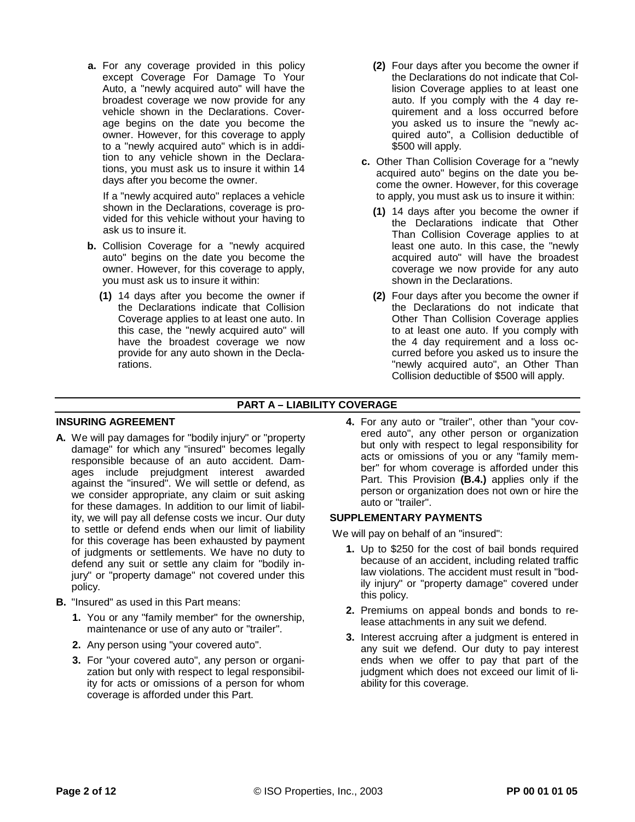**a.** For any coverage provided in this policy except Coverage For Damage To Your Auto, a "newly acquired auto" will have the broadest coverage we now provide for any vehicle shown in the Declarations. Coverage begins on the date you become the owner. However, for this coverage to apply to a "newly acquired auto" which is in addition to any vehicle shown in the Declarations, you must ask us to insure it within 14 days after you become the owner.

If a "newly acquired auto" replaces a vehicle shown in the Declarations, coverage is provided for this vehicle without your having to ask us to insure it.

- **b.** Collision Coverage for a "newly acquired auto" begins on the date you become the owner. However, for this coverage to apply, you must ask us to insure it within:
	- **(1)** 14 days after you become the owner if the Declarations indicate that Collision Coverage applies to at least one auto. In this case, the "newly acquired auto" will have the broadest coverage we now provide for any auto shown in the Declarations.
- **(2)** Four days after you become the owner if the Declarations do not indicate that Collision Coverage applies to at least one auto. If you comply with the 4 day requirement and a loss occurred before you asked us to insure the "newly acquired auto", a Collision deductible of \$500 will apply.
- **c.** Other Than Collision Coverage for a "newly acquired auto" begins on the date you become the owner. However, for this coverage to apply, you must ask us to insure it within:
	- **(1)** 14 days after you become the owner if the Declarations indicate that Other Than Collision Coverage applies to at least one auto. In this case, the "newly acquired auto" will have the broadest coverage we now provide for any auto shown in the Declarations.
	- **(2)** Four days after you become the owner if the Declarations do not indicate that Other Than Collision Coverage applies to at least one auto. If you comply with the 4 day requirement and a loss occurred before you asked us to insure the "newly acquired auto", an Other Than Collision deductible of \$500 will apply.

# **PART A – LIABILITY COVERAGE**

# **INSURING AGREEMENT**

- **A.** We will pay damages for "bodily injury" or "property damage" for which any "insured" becomes legally responsible because of an auto accident. Damages include prejudgment interest awarded against the "insured". We will settle or defend, as we consider appropriate, any claim or suit asking for these damages. In addition to our limit of liability, we will pay all defense costs we incur. Our duty to settle or defend ends when our limit of liability for this coverage has been exhausted by payment of judgments or settlements. We have no duty to defend any suit or settle any claim for "bodily injury" or "property damage" not covered under this policy.
- **B.** "Insured" as used in this Part means:
	- **1.** You or any "family member" for the ownership, maintenance or use of any auto or "trailer".
	- **2.** Any person using "your covered auto".
	- **3.** For "your covered auto", any person or organization but only with respect to legal responsibility for acts or omissions of a person for whom coverage is afforded under this Part.

 **4.** For any auto or "trailer", other than "your covered auto", any other person or organization but only with respect to legal responsibility for acts or omissions of you or any "family member" for whom coverage is afforded under this Part. This Provision **(B.4.)** applies only if the person or organization does not own or hire the auto or "trailer".

# **SUPPLEMENTARY PAYMENTS**

We will pay on behalf of an "insured":

- **1.** Up to \$250 for the cost of bail bonds required because of an accident, including related traffic law violations. The accident must result in "bodily injury" or "property damage" covered under this policy.
- **2.** Premiums on appeal bonds and bonds to release attachments in any suit we defend.
- **3.** Interest accruing after a judgment is entered in any suit we defend. Our duty to pay interest ends when we offer to pay that part of the judgment which does not exceed our limit of liability for this coverage.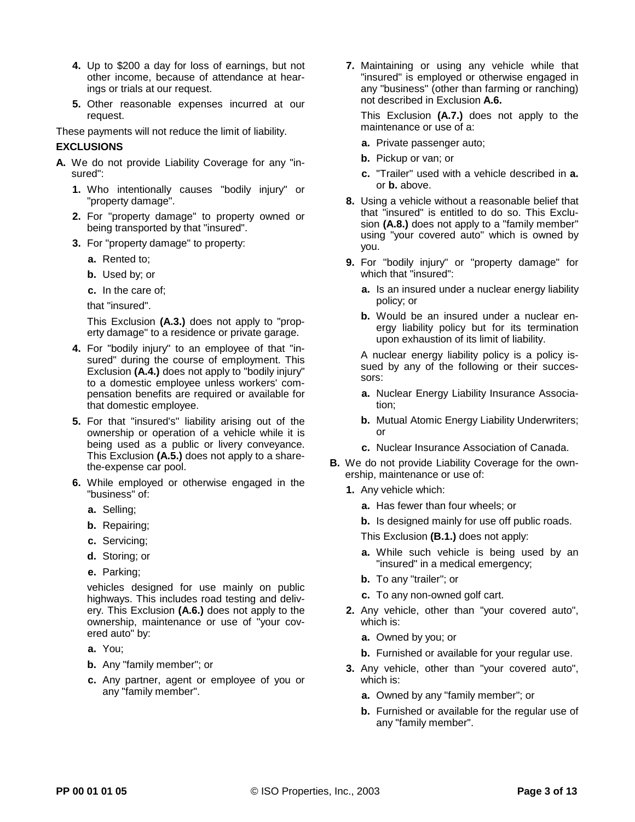- **4.** Up to \$200 a day for loss of earnings, but not other income, because of attendance at hearings or trials at our request.
- **5.** Other reasonable expenses incurred at our request.

These payments will not reduce the limit of liability.

# **EXCLUSIONS**

- **A.** We do not provide Liability Coverage for any "insured":
	- **1.** Who intentionally causes "bodily injury" or "property damage".
	- **2.** For "property damage" to property owned or being transported by that "insured".
	- **3.** For "property damage" to property:
		- **a.** Rented to;
		- **b.** Used by; or
		- **c.** In the care of;
		- that "insured".

This Exclusion **(A.3.)** does not apply to "property damage" to a residence or private garage.

- **4.** For "bodily injury" to an employee of that "insured" during the course of employment. This Exclusion **(A.4.)** does not apply to "bodily injury" to a domestic employee unless workers' compensation benefits are required or available for that domestic employee.
- **5.** For that "insured's" liability arising out of the ownership or operation of a vehicle while it is being used as a public or livery conveyance. This Exclusion **(A.5.)** does not apply to a sharethe-expense car pool.
- **6.** While employed or otherwise engaged in the "business" of:
	- **a.** Selling;
	- **b.** Repairing;
	- **c.** Servicing;
	- **d.** Storing; or
	- **e.** Parking;

vehicles designed for use mainly on public highways. This includes road testing and delivery. This Exclusion **(A.6.)** does not apply to the ownership, maintenance or use of "your covered auto" by:

- **a.** You;
- **b.** Any "family member"; or
- **c.** Any partner, agent or employee of you or any "family member".

 **7.** Maintaining or using any vehicle while that "insured" is employed or otherwise engaged in any "business" (other than farming or ranching) not described in Exclusion **A.6.**

This Exclusion **(A.7.)** does not apply to the maintenance or use of a:

- **a.** Private passenger auto;
- **b.** Pickup or van; or
- **c.** "Trailer" used with a vehicle described in **a.** or **b.** above.
- **8.** Using a vehicle without a reasonable belief that that "insured" is entitled to do so. This Exclusion **(A.8.)** does not apply to a "family member" using "your covered auto" which is owned by you.
- **9.** For "bodily injury" or "property damage" for which that "insured":
	- **a.** Is an insured under a nuclear energy liability policy; or
	- **b.** Would be an insured under a nuclear energy liability policy but for its termination upon exhaustion of its limit of liability.

A nuclear energy liability policy is a policy issued by any of the following or their successors:

- **a.** Nuclear Energy Liability Insurance Association;
- **b.** Mutual Atomic Energy Liability Underwriters; or
- **c.** Nuclear Insurance Association of Canada.
- **B.** We do not provide Liability Coverage for the ownership, maintenance or use of:
	- **1.** Any vehicle which:
		- **a.** Has fewer than four wheels; or
		- **b.** Is designed mainly for use off public roads.

This Exclusion **(B.1.)** does not apply:

- **a.** While such vehicle is being used by an "insured" in a medical emergency;
- **b.** To any "trailer"; or
- **c.** To any non-owned golf cart.
- **2.** Any vehicle, other than "your covered auto", which is:
	- **a.** Owned by you; or
	- **b.** Furnished or available for your regular use.
- **3.** Any vehicle, other than "your covered auto", which is:
	- **a.** Owned by any "family member"; or
	- **b.** Furnished or available for the regular use of any "family member".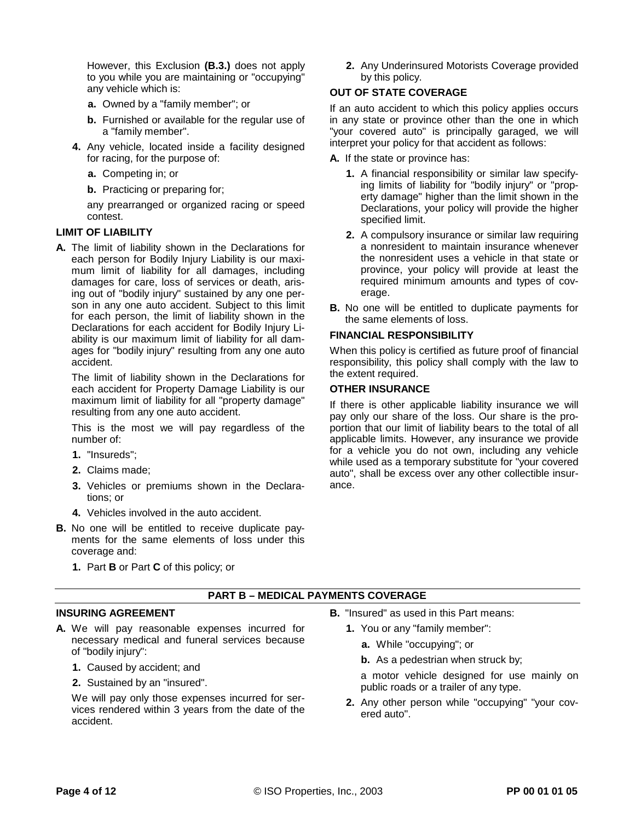However, this Exclusion **(B.3.)** does not apply to you while you are maintaining or "occupying" any vehicle which is:

- **a.** Owned by a "family member"; or
- **b.** Furnished or available for the regular use of a "family member".
- **4.** Any vehicle, located inside a facility designed for racing, for the purpose of:
	- **a.** Competing in; or
	- **b.** Practicing or preparing for;

any prearranged or organized racing or speed contest.

### **LIMIT OF LIABILITY**

**A.** The limit of liability shown in the Declarations for each person for Bodily Injury Liability is our maximum limit of liability for all damages, including damages for care, loss of services or death, arising out of "bodily injury" sustained by any one person in any one auto accident. Subject to this limit for each person, the limit of liability shown in the Declarations for each accident for Bodily Injury Liability is our maximum limit of liability for all damages for "bodily injury" resulting from any one auto accident.

The limit of liability shown in the Declarations for each accident for Property Damage Liability is our maximum limit of liability for all "property damage" resulting from any one auto accident.

This is the most we will pay regardless of the number of:

- **1.** "Insureds";
- **2.** Claims made;
- **3.** Vehicles or premiums shown in the Declarations; or
- **4.** Vehicles involved in the auto accident.
- **B.** No one will be entitled to receive duplicate payments for the same elements of loss under this coverage and:
	- **1.** Part **B** or Part **C** of this policy; or

 **2.** Any Underinsured Motorists Coverage provided by this policy.

# **OUT OF STATE COVERAGE**

If an auto accident to which this policy applies occurs in any state or province other than the one in which "your covered auto" is principally garaged, we will interpret your policy for that accident as follows:

**A.** If the state or province has:

- **1.** A financial responsibility or similar law specifying limits of liability for "bodily injury" or "property damage" higher than the limit shown in the Declarations, your policy will provide the higher specified limit.
- **2.** A compulsory insurance or similar law requiring a nonresident to maintain insurance whenever the nonresident uses a vehicle in that state or province, your policy will provide at least the required minimum amounts and types of coverage.
- **B.** No one will be entitled to duplicate payments for the same elements of loss.

### **FINANCIAL RESPONSIBILITY**

When this policy is certified as future proof of financial responsibility, this policy shall comply with the law to the extent required.

#### **OTHER INSURANCE**

If there is other applicable liability insurance we will pay only our share of the loss. Our share is the proportion that our limit of liability bears to the total of all applicable limits. However, any insurance we provide for a vehicle you do not own, including any vehicle while used as a temporary substitute for "your covered auto", shall be excess over any other collectible insurance.

### **PART B – MEDICAL PAYMENTS COVERAGE**

### **INSURING AGREEMENT**

- **A.** We will pay reasonable expenses incurred for necessary medical and funeral services because of "bodily injury":
	- **1.** Caused by accident; and
	- **2.** Sustained by an "insured".

We will pay only those expenses incurred for services rendered within 3 years from the date of the accident.

- **B.** "Insured" as used in this Part means:
	- **1.** You or any "family member":
		- **a.** While "occupying"; or
		- **b.** As a pedestrian when struck by:
		- a motor vehicle designed for use mainly on public roads or a trailer of any type.
	- **2.** Any other person while "occupying" "your covered auto".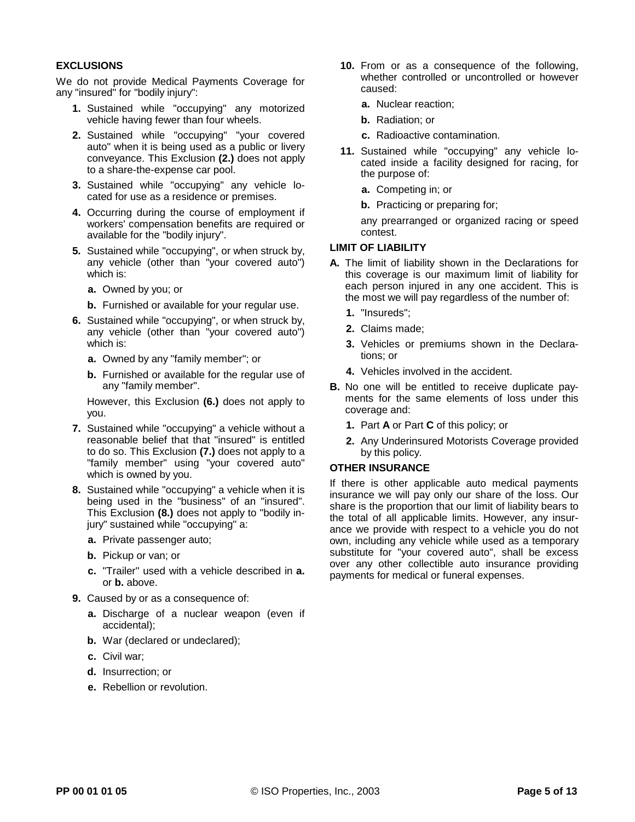### **EXCLUSIONS**

We do not provide Medical Payments Coverage for any "insured" for "bodily injury":

- **1.** Sustained while "occupying" any motorized vehicle having fewer than four wheels.
- **2.** Sustained while "occupying" "your covered auto" when it is being used as a public or livery conveyance. This Exclusion **(2.)** does not apply to a share-the-expense car pool.
- **3.** Sustained while "occupying" any vehicle located for use as a residence or premises.
- **4.** Occurring during the course of employment if workers' compensation benefits are required or available for the "bodily injury".
- **5.** Sustained while "occupying", or when struck by, any vehicle (other than "your covered auto") which is:
	- **a.** Owned by you; or
	- **b.** Furnished or available for your regular use.
- **6.** Sustained while "occupying", or when struck by, any vehicle (other than "your covered auto") which is:
	- **a.** Owned by any "family member"; or
	- **b.** Furnished or available for the regular use of any "family member".

However, this Exclusion **(6.)** does not apply to you.

- **7.** Sustained while "occupying" a vehicle without a reasonable belief that that "insured" is entitled to do so. This Exclusion **(7.)** does not apply to a "family member" using "your covered auto" which is owned by you.
- **8.** Sustained while "occupying" a vehicle when it is being used in the "business" of an "insured". This Exclusion **(8.)** does not apply to "bodily injury" sustained while "occupying" a:
	- **a.** Private passenger auto;
	- **b.** Pickup or van; or
	- **c.** "Trailer" used with a vehicle described in **a.** or **b.** above.
- **9.** Caused by or as a consequence of:
	- **a.** Discharge of a nuclear weapon (even if accidental);
	- **b.** War (declared or undeclared);
	- **c.** Civil war;
	- **d.** Insurrection; or
	- **e.** Rebellion or revolution.
- **10.** From or as a consequence of the following, whether controlled or uncontrolled or however caused:
	- **a.** Nuclear reaction;
	- **b.** Radiation; or
	- **c.** Radioactive contamination.
- **11.** Sustained while "occupying" any vehicle located inside a facility designed for racing, for the purpose of:
	- **a.** Competing in; or
	- **b.** Practicing or preparing for;

any prearranged or organized racing or speed contest.

### **LIMIT OF LIABILITY**

- **A.** The limit of liability shown in the Declarations for this coverage is our maximum limit of liability for each person injured in any one accident. This is the most we will pay regardless of the number of:
	- **1.** "Insureds";
	- **2.** Claims made;
	- **3.** Vehicles or premiums shown in the Declarations; or
	- **4.** Vehicles involved in the accident.
- **B.** No one will be entitled to receive duplicate payments for the same elements of loss under this coverage and:
	- **1.** Part **A** or Part **C** of this policy; or
	- **2.** Any Underinsured Motorists Coverage provided by this policy.

### **OTHER INSURANCE**

If there is other applicable auto medical payments insurance we will pay only our share of the loss. Our share is the proportion that our limit of liability bears to the total of all applicable limits. However, any insurance we provide with respect to a vehicle you do not own, including any vehicle while used as a temporary substitute for "your covered auto", shall be excess over any other collectible auto insurance providing payments for medical or funeral expenses.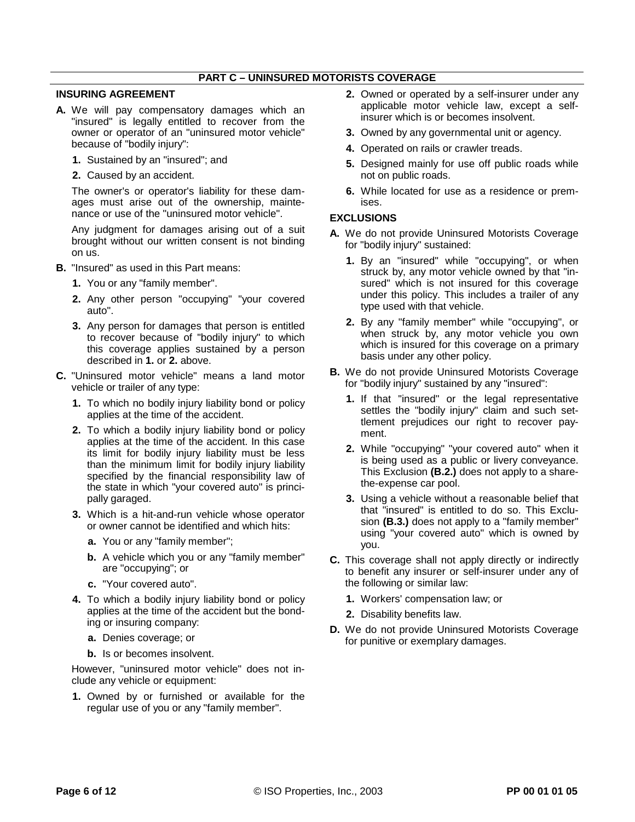## **PART C – UNINSURED MOTORISTS COVERAGE**

#### **INSURING AGREEMENT**

- **A.** We will pay compensatory damages which an "insured" is legally entitled to recover from the owner or operator of an "uninsured motor vehicle" because of "bodily injury":
	- **1.** Sustained by an "insured"; and
	- **2.** Caused by an accident.

The owner's or operator's liability for these damages must arise out of the ownership, maintenance or use of the "uninsured motor vehicle".

Any judgment for damages arising out of a suit brought without our written consent is not binding on us.

- **B.** "Insured" as used in this Part means:
	- **1.** You or any "family member".
	- **2.** Any other person "occupying" "your covered auto".
	- **3.** Any person for damages that person is entitled to recover because of "bodily injury" to which this coverage applies sustained by a person described in **1.** or **2.** above.
- **C.** "Uninsured motor vehicle" means a land motor vehicle or trailer of any type:
	- **1.** To which no bodily injury liability bond or policy applies at the time of the accident.
	- **2.** To which a bodily injury liability bond or policy applies at the time of the accident. In this case its limit for bodily injury liability must be less than the minimum limit for bodily injury liability specified by the financial responsibility law of the state in which "your covered auto" is principally garaged.
	- **3.** Which is a hit-and-run vehicle whose operator or owner cannot be identified and which hits:
		- **a.** You or any "family member";
		- **b.** A vehicle which you or any "family member" are "occupying"; or
		- **c.** "Your covered auto".
	- **4.** To which a bodily injury liability bond or policy applies at the time of the accident but the bonding or insuring company:
		- **a.** Denies coverage; or
		- **b.** Is or becomes insolvent.

However, "uninsured motor vehicle" does not include any vehicle or equipment:

 **1.** Owned by or furnished or available for the regular use of you or any "family member".

- **2.** Owned or operated by a self-insurer under any applicable motor vehicle law, except a selfinsurer which is or becomes insolvent.
- **3.** Owned by any governmental unit or agency.
- **4.** Operated on rails or crawler treads.
- **5.** Designed mainly for use off public roads while not on public roads.
- **6.** While located for use as a residence or premises.

### **EXCLUSIONS**

- **A.** We do not provide Uninsured Motorists Coverage for "bodily injury" sustained:
	- **1.** By an "insured" while "occupying", or when struck by, any motor vehicle owned by that "insured" which is not insured for this coverage under this policy. This includes a trailer of any type used with that vehicle.
	- **2.** By any "family member" while "occupying", or when struck by, any motor vehicle you own which is insured for this coverage on a primary basis under any other policy.
- **B.** We do not provide Uninsured Motorists Coverage for "bodily injury" sustained by any "insured":
	- **1.** If that "insured" or the legal representative settles the "bodily injury" claim and such settlement prejudices our right to recover payment.
	- **2.** While "occupying" "your covered auto" when it is being used as a public or livery conveyance. This Exclusion **(B.2.)** does not apply to a sharethe-expense car pool.
	- **3.** Using a vehicle without a reasonable belief that that "insured" is entitled to do so. This Exclusion **(B.3.)** does not apply to a "family member" using "your covered auto" which is owned by you.
- **C.** This coverage shall not apply directly or indirectly to benefit any insurer or self-insurer under any of the following or similar law:
	- **1.** Workers' compensation law; or
	- **2.** Disability benefits law.
- **D.** We do not provide Uninsured Motorists Coverage for punitive or exemplary damages.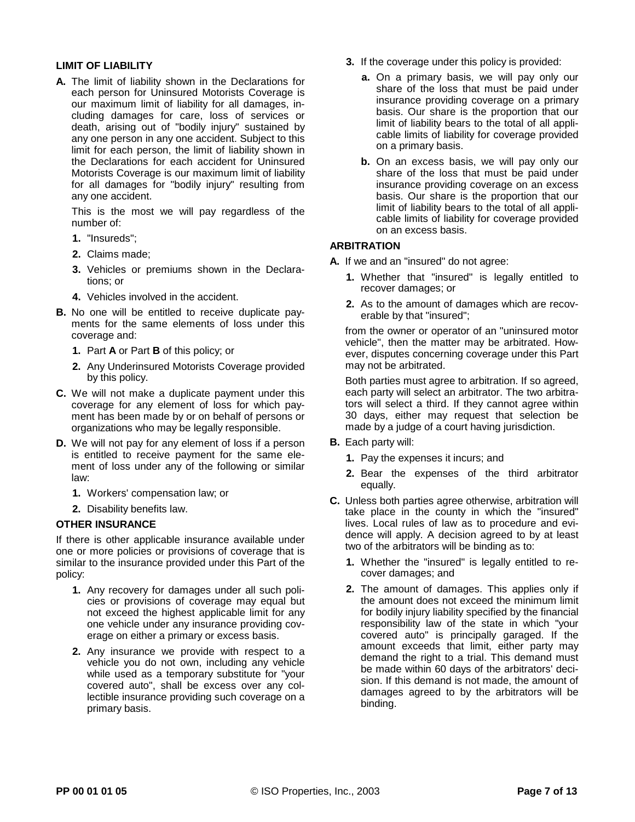### **LIMIT OF LIABILITY**

**A.** The limit of liability shown in the Declarations for each person for Uninsured Motorists Coverage is our maximum limit of liability for all damages, including damages for care, loss of services or death, arising out of "bodily injury" sustained by any one person in any one accident. Subject to this limit for each person, the limit of liability shown in the Declarations for each accident for Uninsured Motorists Coverage is our maximum limit of liability for all damages for "bodily injury" resulting from any one accident.

This is the most we will pay regardless of the number of:

- **1.** "Insureds";
- **2.** Claims made;
- **3.** Vehicles or premiums shown in the Declarations; or
- **4.** Vehicles involved in the accident.
- **B.** No one will be entitled to receive duplicate payments for the same elements of loss under this coverage and:
	- **1.** Part **A** or Part **B** of this policy; or
	- **2.** Any Underinsured Motorists Coverage provided by this policy.
- **C.** We will not make a duplicate payment under this coverage for any element of loss for which payment has been made by or on behalf of persons or organizations who may be legally responsible.
- **D.** We will not pay for any element of loss if a person is entitled to receive payment for the same element of loss under any of the following or similar law:
	- **1.** Workers' compensation law; or
	- **2.** Disability benefits law.

# **OTHER INSURANCE**

If there is other applicable insurance available under one or more policies or provisions of coverage that is similar to the insurance provided under this Part of the policy:

- **1.** Any recovery for damages under all such policies or provisions of coverage may equal but not exceed the highest applicable limit for any one vehicle under any insurance providing coverage on either a primary or excess basis.
- **2.** Any insurance we provide with respect to a vehicle you do not own, including any vehicle while used as a temporary substitute for "your covered auto", shall be excess over any collectible insurance providing such coverage on a primary basis.
- **3.** If the coverage under this policy is provided:
	- **a.** On a primary basis, we will pay only our share of the loss that must be paid under insurance providing coverage on a primary basis. Our share is the proportion that our limit of liability bears to the total of all applicable limits of liability for coverage provided on a primary basis.
	- **b.** On an excess basis, we will pay only our share of the loss that must be paid under insurance providing coverage on an excess basis. Our share is the proportion that our limit of liability bears to the total of all applicable limits of liability for coverage provided on an excess basis.

### **ARBITRATION**

**A.** If we and an "insured" do not agree:

- **1.** Whether that "insured" is legally entitled to recover damages; or
- **2.** As to the amount of damages which are recoverable by that "insured";

from the owner or operator of an "uninsured motor vehicle", then the matter may be arbitrated. However, disputes concerning coverage under this Part may not be arbitrated.

Both parties must agree to arbitration. If so agreed, each party will select an arbitrator. The two arbitrators will select a third. If they cannot agree within 30 days, either may request that selection be made by a judge of a court having jurisdiction.

- **B.** Each party will:
	- **1.** Pay the expenses it incurs; and
	- **2.** Bear the expenses of the third arbitrator equally.
- **C.** Unless both parties agree otherwise, arbitration will take place in the county in which the "insured" lives. Local rules of law as to procedure and evidence will apply. A decision agreed to by at least two of the arbitrators will be binding as to:
	- **1.** Whether the "insured" is legally entitled to recover damages; and
	- **2.** The amount of damages. This applies only if the amount does not exceed the minimum limit for bodily injury liability specified by the financial responsibility law of the state in which "your covered auto" is principally garaged. If the amount exceeds that limit, either party may demand the right to a trial. This demand must be made within 60 days of the arbitrators' decision. If this demand is not made, the amount of damages agreed to by the arbitrators will be binding.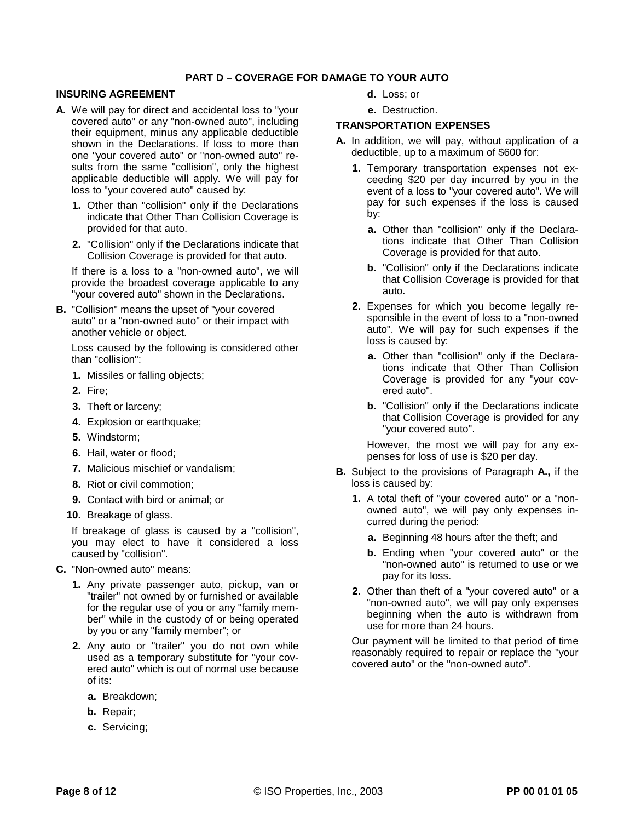### **PART D – COVERAGE FOR DAMAGE TO YOUR AUTO**

### **INSURING AGREEMENT**

- **A.** We will pay for direct and accidental loss to "your covered auto" or any "non-owned auto", including their equipment, minus any applicable deductible shown in the Declarations. If loss to more than one "your covered auto" or "non-owned auto" results from the same "collision", only the highest applicable deductible will apply. We will pay for loss to "your covered auto" caused by:
	- **1.** Other than "collision" only if the Declarations indicate that Other Than Collision Coverage is provided for that auto.
	- **2.** "Collision" only if the Declarations indicate that Collision Coverage is provided for that auto.

If there is a loss to a "non-owned auto", we will provide the broadest coverage applicable to any "your covered auto" shown in the Declarations.

**B.** "Collision" means the upset of "your covered auto" or a "non-owned auto" or their impact with another vehicle or object.

Loss caused by the following is considered other than "collision":

- **1.** Missiles or falling objects;
- **2.** Fire;
- **3.** Theft or larceny;
- **4.** Explosion or earthquake;
- **5.** Windstorm;
- **6.** Hail, water or flood;
- **7.** Malicious mischief or vandalism;
- **8.** Riot or civil commotion;
- **9.** Contact with bird or animal; or
- **10.** Breakage of glass.

If breakage of glass is caused by a "collision", you may elect to have it considered a loss caused by "collision".

- **C.** "Non-owned auto" means:
	- **1.** Any private passenger auto, pickup, van or "trailer" not owned by or furnished or available for the regular use of you or any "family member" while in the custody of or being operated by you or any "family member"; or
	- **2.** Any auto or "trailer" you do not own while used as a temporary substitute for "your covered auto" which is out of normal use because of its:
		- **a.** Breakdown;
		- **b.** Repair;
		- **c.** Servicing;
- **d.** Loss; or
- **e.** Destruction.

#### **TRANSPORTATION EXPENSES**

- **A.** In addition, we will pay, without application of a deductible, up to a maximum of \$600 for:
	- **1.** Temporary transportation expenses not exceeding \$20 per day incurred by you in the event of a loss to "your covered auto". We will pay for such expenses if the loss is caused by:
		- **a.** Other than "collision" only if the Declarations indicate that Other Than Collision Coverage is provided for that auto.
		- **b.** "Collision" only if the Declarations indicate that Collision Coverage is provided for that auto.
	- **2.** Expenses for which you become legally responsible in the event of loss to a "non-owned auto". We will pay for such expenses if the loss is caused by:
		- **a.** Other than "collision" only if the Declarations indicate that Other Than Collision Coverage is provided for any "your covered auto".
		- **b.** "Collision" only if the Declarations indicate that Collision Coverage is provided for any "your covered auto".

However, the most we will pay for any expenses for loss of use is \$20 per day.

- **B.** Subject to the provisions of Paragraph **A.,** if the loss is caused by:
	- **1.** A total theft of "your covered auto" or a "nonowned auto", we will pay only expenses incurred during the period:
		- **a.** Beginning 48 hours after the theft; and
		- **b.** Ending when "your covered auto" or the "non-owned auto" is returned to use or we pay for its loss.
	- **2.** Other than theft of a "your covered auto" or a "non-owned auto", we will pay only expenses beginning when the auto is withdrawn from use for more than 24 hours.

Our payment will be limited to that period of time reasonably required to repair or replace the "your covered auto" or the "non-owned auto".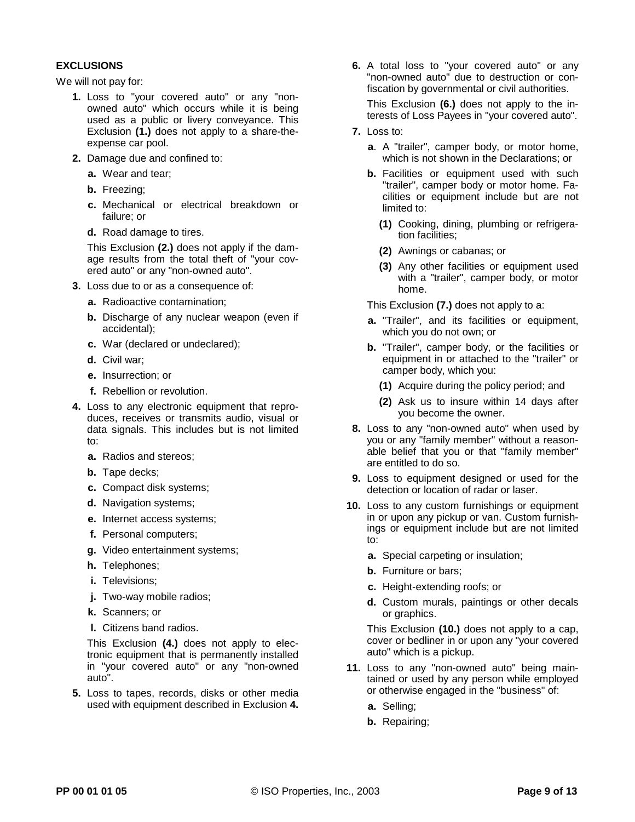### **EXCLUSIONS**

We will not pay for:

- **1.** Loss to "your covered auto" or any "nonowned auto" which occurs while it is being used as a public or livery conveyance. This Exclusion **(1.)** does not apply to a share-theexpense car pool.
- **2.** Damage due and confined to:
	- **a.** Wear and tear;
	- **b.** Freezing;
	- **c.** Mechanical or electrical breakdown or failure; or
	- **d.** Road damage to tires.

This Exclusion **(2.)** does not apply if the damage results from the total theft of "your covered auto" or any "non-owned auto".

- **3.** Loss due to or as a consequence of:
	- **a.** Radioactive contamination;
	- **b.** Discharge of any nuclear weapon (even if accidental);
	- **c.** War (declared or undeclared);
	- **d.** Civil war;
	- **e.** Insurrection; or
	- **f.** Rebellion or revolution.
- **4.** Loss to any electronic equipment that reproduces, receives or transmits audio, visual or data signals. This includes but is not limited to:
	- **a.** Radios and stereos;
	- **b.** Tape decks;
	- **c.** Compact disk systems;
	- **d.** Navigation systems;
	- **e.** Internet access systems;
	- **f.** Personal computers;
	- **g.** Video entertainment systems;
	- **h.** Telephones;
	- **i.** Televisions;
	- **j.** Two-way mobile radios;
	- **k.** Scanners; or
	- **l.** Citizens band radios.

This Exclusion **(4.)** does not apply to electronic equipment that is permanently installed in "your covered auto" or any "non-owned auto".

 **5.** Loss to tapes, records, disks or other media used with equipment described in Exclusion **4.**  **6.** A total loss to "your covered auto" or any "non-owned auto" due to destruction or confiscation by governmental or civil authorities.

This Exclusion **(6.)** does not apply to the interests of Loss Payees in "your covered auto".

- **7.** Loss to:
	- **a**. A "trailer", camper body, or motor home, which is not shown in the Declarations; or
	- **b.** Facilities or equipment used with such "trailer", camper body or motor home. Facilities or equipment include but are not limited to:
		- **(1)** Cooking, dining, plumbing or refrigeration facilities;
		- **(2)** Awnings or cabanas; or
		- **(3)** Any other facilities or equipment used with a "trailer", camper body, or motor home.

This Exclusion **(7.)** does not apply to a:

- **a.** "Trailer", and its facilities or equipment, which you do not own; or
- **b.** "Trailer", camper body, or the facilities or equipment in or attached to the "trailer" or camper body, which you:
	- **(1)** Acquire during the policy period; and
	- **(2)** Ask us to insure within 14 days after you become the owner.
- **8.** Loss to any "non-owned auto" when used by you or any "family member" without a reasonable belief that you or that "family member" are entitled to do so.
- **9.** Loss to equipment designed or used for the detection or location of radar or laser.
- **10.** Loss to any custom furnishings or equipment in or upon any pickup or van. Custom furnishings or equipment include but are not limited to:
	- **a.** Special carpeting or insulation;
	- **b.** Furniture or bars;
	- **c.** Height-extending roofs; or
	- **d.** Custom murals, paintings or other decals or graphics.

This Exclusion **(10.)** does not apply to a cap, cover or bedliner in or upon any "your covered auto" which is a pickup.

- **11.** Loss to any "non-owned auto" being maintained or used by any person while employed or otherwise engaged in the "business" of:
	- **a.** Selling;
	- **b.** Repairing;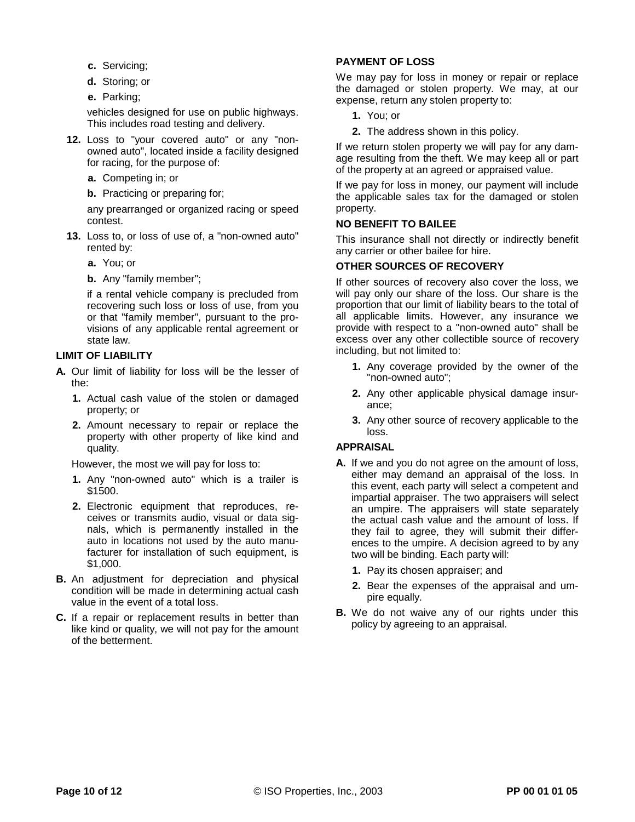- **c.** Servicing;
- **d.** Storing; or
- **e.** Parking;

vehicles designed for use on public highways. This includes road testing and delivery.

- **12.** Loss to "your covered auto" or any "nonowned auto", located inside a facility designed for racing, for the purpose of:
	- **a.** Competing in; or
	- **b.** Practicing or preparing for;

any prearranged or organized racing or speed contest.

- **13.** Loss to, or loss of use of, a "non-owned auto" rented by:
	- **a.** You; or
	- **b.** Any "family member";

if a rental vehicle company is precluded from recovering such loss or loss of use, from you or that "family member", pursuant to the provisions of any applicable rental agreement or state law.

# **LIMIT OF LIABILITY**

**A.** Our limit of liability for loss will be the lesser of the:

- **1.** Actual cash value of the stolen or damaged property; or
- **2.** Amount necessary to repair or replace the property with other property of like kind and quality.

However, the most we will pay for loss to:

- **1.** Any "non-owned auto" which is a trailer is \$1500.
- **2.** Electronic equipment that reproduces, receives or transmits audio, visual or data signals, which is permanently installed in the auto in locations not used by the auto manufacturer for installation of such equipment, is \$1,000.
- **B.** An adjustment for depreciation and physical condition will be made in determining actual cash value in the event of a total loss.
- **C.** If a repair or replacement results in better than like kind or quality, we will not pay for the amount of the betterment.

### **PAYMENT OF LOSS**

We may pay for loss in money or repair or replace the damaged or stolen property. We may, at our expense, return any stolen property to:

- **1.** You; or
- **2.** The address shown in this policy.

If we return stolen property we will pay for any damage resulting from the theft. We may keep all or part of the property at an agreed or appraised value.

If we pay for loss in money, our payment will include the applicable sales tax for the damaged or stolen property.

### **NO BENEFIT TO BAILEE**

This insurance shall not directly or indirectly benefit any carrier or other bailee for hire.

### **OTHER SOURCES OF RECOVERY**

If other sources of recovery also cover the loss, we will pay only our share of the loss. Our share is the proportion that our limit of liability bears to the total of all applicable limits. However, any insurance we provide with respect to a "non-owned auto" shall be excess over any other collectible source of recovery including, but not limited to:

- **1.** Any coverage provided by the owner of the "non-owned auto";
- **2.** Any other applicable physical damage insurance;
- **3.** Any other source of recovery applicable to the loss.

# **APPRAISAL**

- **A.** If we and you do not agree on the amount of loss, either may demand an appraisal of the loss. In this event, each party will select a competent and impartial appraiser. The two appraisers will select an umpire. The appraisers will state separately the actual cash value and the amount of loss. If they fail to agree, they will submit their differences to the umpire. A decision agreed to by any two will be binding. Each party will:
	- **1.** Pay its chosen appraiser; and
	- **2.** Bear the expenses of the appraisal and umpire equally.
- **B.** We do not waive any of our rights under this policy by agreeing to an appraisal.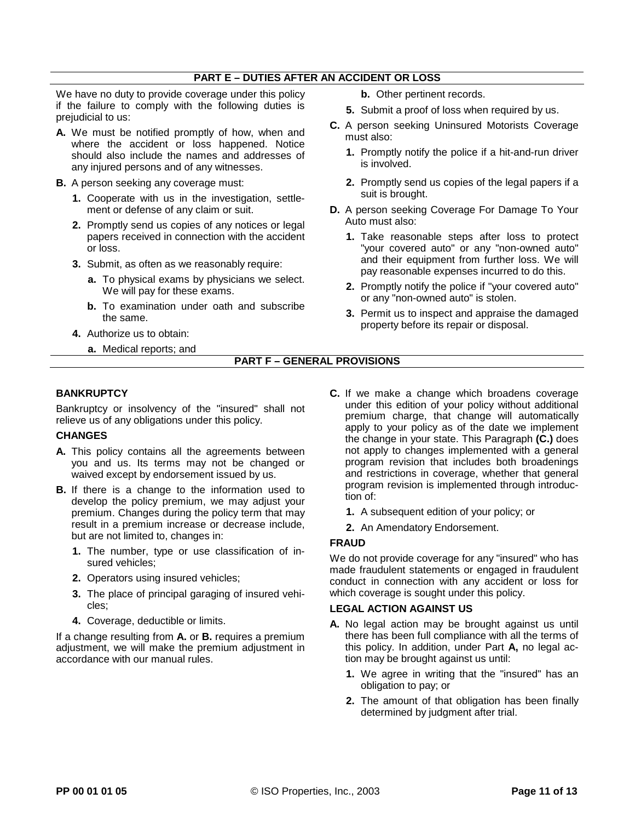### **PART E – DUTIES AFTER AN ACCIDENT OR LOSS**

We have no duty to provide coverage under this policy if the failure to comply with the following duties is prejudicial to us:

- **A.** We must be notified promptly of how, when and where the accident or loss happened. Notice should also include the names and addresses of any injured persons and of any witnesses.
- **B.** A person seeking any coverage must:
	- **1.** Cooperate with us in the investigation, settlement or defense of any claim or suit.
	- **2.** Promptly send us copies of any notices or legal papers received in connection with the accident or loss.
	- **3.** Submit, as often as we reasonably require:
		- **a.** To physical exams by physicians we select. We will pay for these exams.
		- **b.** To examination under oath and subscribe the same.
	- **4.** Authorize us to obtain:
		- **a.** Medical reports; and
- **b.** Other pertinent records.
- **5.** Submit a proof of loss when required by us.
- **C.** A person seeking Uninsured Motorists Coverage must also:
	- **1.** Promptly notify the police if a hit-and-run driver is involved.
	- **2.** Promptly send us copies of the legal papers if a suit is brought.
- **D.** A person seeking Coverage For Damage To Your Auto must also:
	- **1.** Take reasonable steps after loss to protect "your covered auto" or any "non-owned auto" and their equipment from further loss. We will pay reasonable expenses incurred to do this.
	- **2.** Promptly notify the police if "your covered auto" or any "non-owned auto" is stolen.
	- **3.** Permit us to inspect and appraise the damaged property before its repair or disposal.

# **PART F – GENERAL PROVISIONS**

### **BANKRUPTCY**

Bankruptcy or insolvency of the "insured" shall not relieve us of any obligations under this policy.

### **CHANGES**

- **A.** This policy contains all the agreements between you and us. Its terms may not be changed or waived except by endorsement issued by us.
- **B.** If there is a change to the information used to develop the policy premium, we may adjust your premium. Changes during the policy term that may result in a premium increase or decrease include, but are not limited to, changes in:
	- **1.** The number, type or use classification of insured vehicles;
	- **2.** Operators using insured vehicles;
	- **3.** The place of principal garaging of insured vehicles;
	- **4.** Coverage, deductible or limits.

If a change resulting from **A.** or **B.** requires a premium adjustment, we will make the premium adjustment in accordance with our manual rules.

- **C.** If we make a change which broadens coverage under this edition of your policy without additional premium charge, that change will automatically apply to your policy as of the date we implement the change in your state. This Paragraph **(C.)** does not apply to changes implemented with a general program revision that includes both broadenings and restrictions in coverage, whether that general program revision is implemented through introduction of:
	- **1.** A subsequent edition of your policy; or
	- **2.** An Amendatory Endorsement.

# **FRAUD**

We do not provide coverage for any "insured" who has made fraudulent statements or engaged in fraudulent conduct in connection with any accident or loss for which coverage is sought under this policy.

### **LEGAL ACTION AGAINST US**

- **A.** No legal action may be brought against us until there has been full compliance with all the terms of this policy. In addition, under Part **A,** no legal action may be brought against us until:
	- **1.** We agree in writing that the "insured" has an obligation to pay; or
	- **2.** The amount of that obligation has been finally determined by judgment after trial.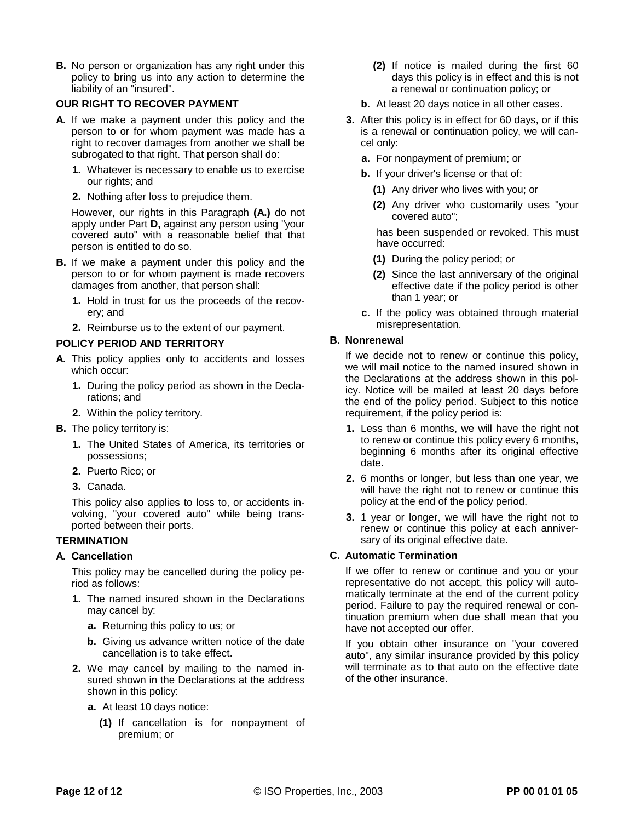**B.** No person or organization has any right under this policy to bring us into any action to determine the liability of an "insured".

### **OUR RIGHT TO RECOVER PAYMENT**

- **A.** If we make a payment under this policy and the person to or for whom payment was made has a right to recover damages from another we shall be subrogated to that right. That person shall do:
	- **1.** Whatever is necessary to enable us to exercise our rights; and
	- **2.** Nothing after loss to prejudice them.

However, our rights in this Paragraph **(A.)** do not apply under Part **D,** against any person using "your covered auto" with a reasonable belief that that person is entitled to do so.

- **B.** If we make a payment under this policy and the person to or for whom payment is made recovers damages from another, that person shall:
	- **1.** Hold in trust for us the proceeds of the recovery; and
	- **2.** Reimburse us to the extent of our payment.

# **POLICY PERIOD AND TERRITORY**

- **A.** This policy applies only to accidents and losses which occur:
	- **1.** During the policy period as shown in the Declarations; and
	- **2.** Within the policy territory.
- **B.** The policy territory is:
	- **1.** The United States of America, its territories or possessions;
	- **2.** Puerto Rico; or
	- **3.** Canada.

This policy also applies to loss to, or accidents involving, "your covered auto" while being transported between their ports.

# **TERMINATION**

# **A. Cancellation**

This policy may be cancelled during the policy period as follows:

- **1.** The named insured shown in the Declarations may cancel by:
	- **a.** Returning this policy to us; or
	- **b.** Giving us advance written notice of the date cancellation is to take effect.
- **2.** We may cancel by mailing to the named insured shown in the Declarations at the address shown in this policy:
	- **a.** At least 10 days notice:
		- **(1)** If cancellation is for nonpayment of premium; or
- **(2)** If notice is mailed during the first 60 days this policy is in effect and this is not a renewal or continuation policy; or
- **b.** At least 20 days notice in all other cases.
- **3.** After this policy is in effect for 60 days, or if this is a renewal or continuation policy, we will cancel only:
	- **a.** For nonpayment of premium; or
	- **b.** If your driver's license or that of:
		- **(1)** Any driver who lives with you; or
		- **(2)** Any driver who customarily uses "your covered auto";

has been suspended or revoked. This must have occurred:

- **(1)** During the policy period; or
- **(2)** Since the last anniversary of the original effective date if the policy period is other than 1 year; or
- **c.** If the policy was obtained through material misrepresentation.

# **B. Nonrenewal**

If we decide not to renew or continue this policy, we will mail notice to the named insured shown in the Declarations at the address shown in this policy. Notice will be mailed at least 20 days before the end of the policy period. Subject to this notice requirement, if the policy period is:

- **1.** Less than 6 months, we will have the right not to renew or continue this policy every 6 months, beginning 6 months after its original effective date.
- **2.** 6 months or longer, but less than one year, we will have the right not to renew or continue this policy at the end of the policy period.
- **3.** 1 year or longer, we will have the right not to renew or continue this policy at each anniversary of its original effective date.

# **C. Automatic Termination**

If we offer to renew or continue and you or your representative do not accept, this policy will automatically terminate at the end of the current policy period. Failure to pay the required renewal or continuation premium when due shall mean that you have not accepted our offer.

If you obtain other insurance on "your covered auto", any similar insurance provided by this policy will terminate as to that auto on the effective date of the other insurance.